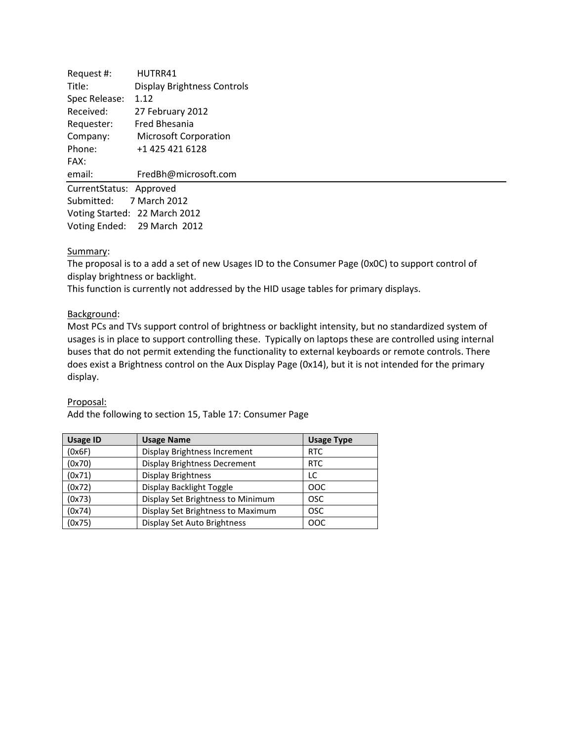| Request #:                    | HUTRR41                            |  |
|-------------------------------|------------------------------------|--|
| Title:                        | <b>Display Brightness Controls</b> |  |
| Spec Release:                 | 1.12                               |  |
| Received:                     | 27 February 2012                   |  |
| Requester:                    | Fred Bhesania                      |  |
| Company:                      | <b>Microsoft Corporation</b>       |  |
| Phone:                        | +1 425 421 6128                    |  |
| FAX:                          |                                    |  |
| email:                        | FredBh@microsoft.com               |  |
| CurrentStatus: Approved       |                                    |  |
| Submitted: 7 March 2012       |                                    |  |
| Voting Started: 22 March 2012 |                                    |  |
|                               | Voting Ended: 29 March 2012        |  |

## Summary:

The proposal is to a add a set of new Usages ID to the Consumer Page (0x0C) to support control of display brightness or backlight.

This function is currently not addressed by the HID usage tables for primary displays.

## Background:

Most PCs and TVs support control of brightness or backlight intensity, but no standardized system of usages is in place to support controlling these. Typically on laptops these are controlled using internal buses that do not permit extending the functionality to external keyboards or remote controls. There does exist a Brightness control on the Aux Display Page (0x14), but it is not intended for the primary display.

## Proposal:

Add the following to section 15, Table 17: Consumer Page

| <b>Usage ID</b> | <b>Usage Name</b>                   | <b>Usage Type</b> |
|-----------------|-------------------------------------|-------------------|
| (0x6F)          | Display Brightness Increment        | <b>RTC</b>        |
| (0x70)          | <b>Display Brightness Decrement</b> | <b>RTC</b>        |
| (0x71)          | <b>Display Brightness</b>           | LC                |
| (0x72)          | Display Backlight Toggle            | <b>OOC</b>        |
| (0x73)          | Display Set Brightness to Minimum   | <b>OSC</b>        |
| (0x74)          | Display Set Brightness to Maximum   | <b>OSC</b>        |
| (0x75)          | Display Set Auto Brightness         | <b>OOC</b>        |